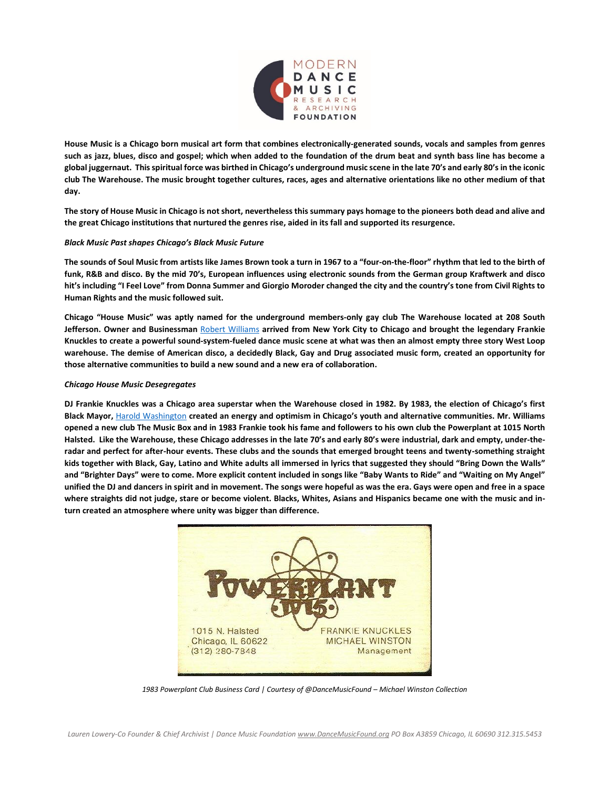

**House Music is a Chicago born musical art form that combines electronically-generated sounds, vocals and samples from genres such as jazz, blues, disco and gospel; which when added to the foundation of the drum beat and synth bass line has become a global juggernaut. This spiritual force was birthed in Chicago's underground music scene in the late 70's and early 80's in the iconic club The Warehouse. The music brought together cultures, races, ages and alternative orientations like no other medium of that day.**

**The story of House Music in Chicago is not short, nevertheless this summary pays homage to the pioneers both dead and alive and the great Chicago institutions that nurtured the genres rise, aided in its fall and supported its resurgence.**

## *Black Music Past shapes Chicago's Black Music Future*

**The sounds of Soul Music from artists like James Brown took a turn in 1967 to a "four-on-the-floor" rhythm that led to the birth of funk, R&B and disco. By the mid 70's, European influences using electronic sounds from the German group Kraftwerk and disco hit's including "I Feel Love" from Donna Summer and Giorgio Moroder changed the city and the country's tone from Civil Rights to Human Rights and the music followed suit.**

**Chicago "House Music" was aptly named for the underground members-only gay club The Warehouse located at 208 South Jefferson. Owner and Businessman** [Robert Williams](https://www.redbullradio.com/shows/fireside-chat/episodes/robert-williams) **arrived from New York City to Chicago and brought the legendary Frankie Knuckles to create a powerful sound-system-fueled dance music scene at what was then an almost empty three story West Loop warehouse. The demise of American disco, a decidedly Black, Gay and Drug associated music form, created an opportunity for those alternative communities to build a new sound and a new era of collaboration.**

## *Chicago House Music Desegregates*

**DJ Frankie Knuckles was a Chicago area superstar when the Warehouse closed in 1982. By 1983, the election of Chicago's first Black Mayor,** [Harold Washington](https://www.chipublib.org/mayor-harold-washington-biography/) **created an energy and optimism in Chicago's youth and alternative communities. Mr. Williams opened a new club The Music Box and in 1983 Frankie took his fame and followers to his own club the Powerplant at 1015 North Halsted. Like the Warehouse, these Chicago addresses in the late 70's and early 80's were industrial, dark and empty, under-theradar and perfect for after-hour events. These clubs and the sounds that emerged brought teens and twenty-something straight kids together with Black, Gay, Latino and White adults all immersed in lyrics that suggested they should "Bring Down the Walls" and "Brighter Days" were to come. More explicit content included in songs like "Baby Wants to Ride" and "Waiting on My Angel" unified the DJ and dancers in spirit and in movement. The songs were hopeful as was the era. Gays were open and free in a space where straights did not judge, stare or become violent. Blacks, Whites, Asians and Hispanics became one with the music and inturn created an atmosphere where unity was bigger than difference.** 



*1983 Powerplant Club Business Card | Courtesy of @DanceMusicFound – Michael Winston Collection*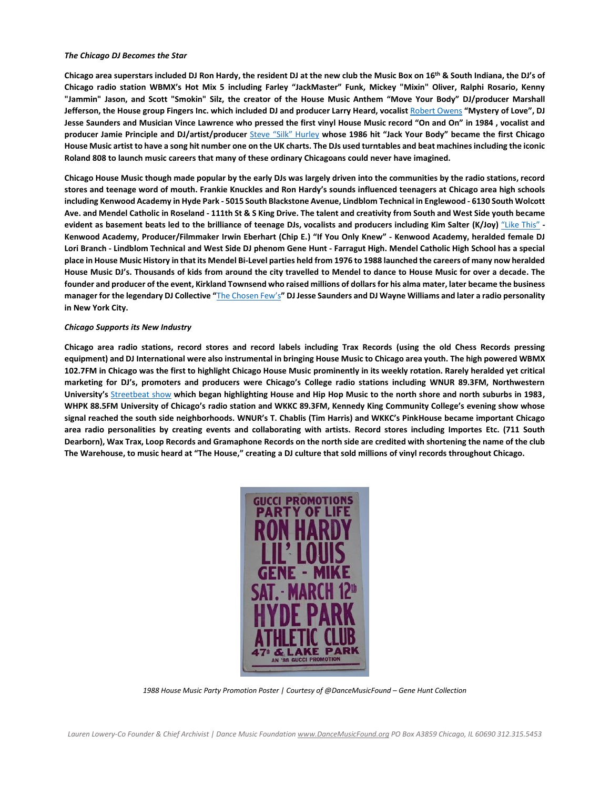## *The Chicago DJ Becomes the Star*

**Chicago area superstars included DJ Ron Hardy, the resident DJ at the new club the Music Box on 16th & South Indiana, the DJ's of Chicago radio station WBMX's Hot Mix 5 including Farley "JackMaster" Funk, Mickey "Mixin" Oliver, Ralphi Rosario, Kenny "Jammin" Jason, and Scott "Smokin" Silz, the creator of the House Music Anthem "Move Your Body" DJ/producer Marshall Jefferson, the House group Fingers Inc. which included DJ and producer Larry Heard, vocalist** [Robert Owens](https://www.skiddle.com/news/all/Robert-Owens-Interview-Bring-Down-The-Walls/30859/) **"Mystery of Love", DJ Jesse Saunders and Musician Vince Lawrence who pressed the first vinyl House Music record "On and On" in 1984 , vocalist and producer Jamie Principle and DJ/artist/producer** [Steve "Silk" Hurley](https://youtu.be/PB575qJtL5k) **whose 1986 hit "Jack Your Body" became the first Chicago House Music artist to have a song hit number one on the UK charts. The DJs used turntables and beat machines including the iconic Roland 808 to launch music careers that many of these ordinary Chicagoans could never have imagined.**

**Chicago House Music though made popular by the early DJs was largely driven into the communities by the radio stations, record stores and teenage word of mouth. Frankie Knuckles and Ron Hardy's sounds influenced teenagers at Chicago area high schools including Kenwood Academy in Hyde Park - 5015 South Blackstone Avenue, Lindblom Technical in Englewood - 6130 South Wolcott Ave. and Mendel Catholic in Roseland - 111th St & S King Drive. The talent and creativity from South and West Side youth became evident as basement beats led to the brilliance of teenage DJs, vocalists and producers including Kim Salter (K/Joy)** ["Like This"](https://youtu.be/l-EIIcueb1o) **- Kenwood Academy, Producer/Filmmaker Irwin Eberhart (Chip E.) "If You Only Knew" - Kenwood Academy, heralded female DJ Lori Branch - Lindblom Technical and West Side DJ phenom Gene Hunt - Farragut High. Mendel Catholic High School has a special place in House Music History in that its Mendel Bi-Level parties held from 1976 to 1988 launched the careers of many now heralded House Music DJ's. Thousands of kids from around the city travelled to Mendel to dance to House Music for over a decade. The founder and producer of the event, Kirkland Townsend who raised millions of dollars for his alma mater, later became the business manager for the legendary DJ Collective "**[The Chosen Few](http://chosenfewdjs.com/)'s**" DJ Jesse Saunders and DJ Wayne Williams and later a radio personality in New York City.** 

## *Chicago Supports its New Industry*

**Chicago area radio stations, record stores and record labels including Trax Records (using the old Chess Records pressing equipment) and DJ International were also instrumental in bringing House Music to Chicago area youth. The high powered WBMX 102.7FM in Chicago was the first to highlight Chicago House Music prominently in its weekly rotation. Rarely heralded yet critical marketing for DJ's, promoters and producers were Chicago's College radio stations including WNUR 89.3FM, Northwestern University's** [Streetbeat show](http://wnurstreetbeat.org/) **which began highlighting House and Hip Hop Music to the north shore and north suburbs in 1983, WHPK 88.5FM University of Chicago's radio station and WKKC 89.3FM, Kennedy King Community College's evening show whose signal reached the south side neighborhoods. WNUR's T. Chablis (Tim Harris) and WKKC's PinkHouse became important Chicago area radio personalities by creating events and collaborating with artists. Record stores including Importes Etc. (711 South Dearborn), Wax Trax, Loop Records and Gramaphone Records on the north side are credited with shortening the name of the club The Warehouse, to music heard at "The House," creating a DJ culture that sold millions of vinyl records throughout Chicago.**



*1988 House Music Party Promotion Poster | Courtesy of @DanceMusicFound – Gene Hunt Collection*